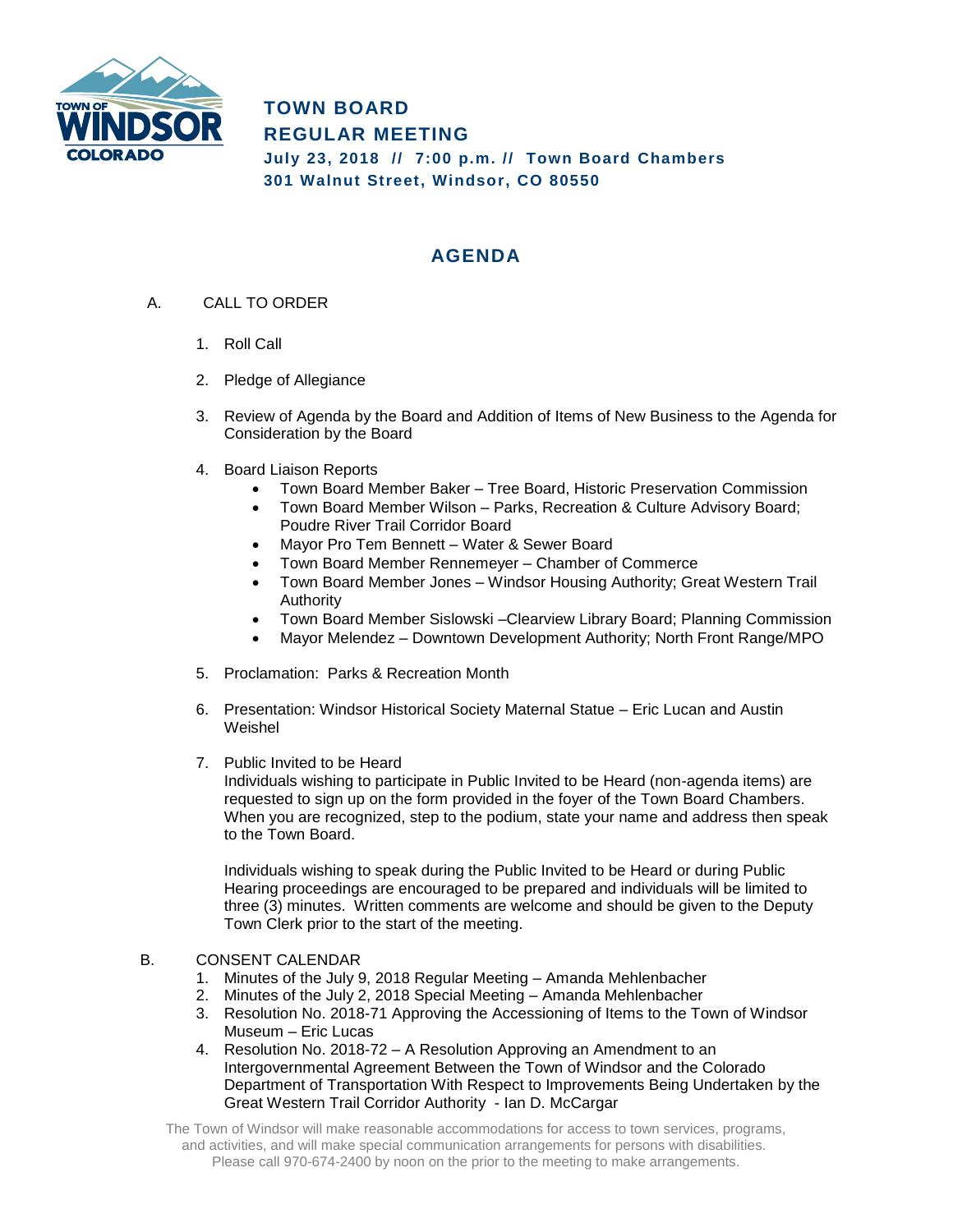

**TOWN BOARD REGULAR MEETING July 23, 2018 // 7:00 p.m. // Town Board Chambers 301 Walnut Street, Windsor, CO 80550**

## **AGENDA**

- A. CALL TO ORDER
	- 1. Roll Call
	- 2. Pledge of Allegiance
	- 3. Review of Agenda by the Board and Addition of Items of New Business to the Agenda for Consideration by the Board
	- 4. Board Liaison Reports
		- Town Board Member Baker Tree Board, Historic Preservation Commission
		- Town Board Member Wilson Parks, Recreation & Culture Advisory Board; Poudre River Trail Corridor Board
		- Mayor Pro Tem Bennett Water & Sewer Board
		- Town Board Member Rennemeyer Chamber of Commerce
		- Town Board Member Jones Windsor Housing Authority; Great Western Trail Authority
		- Town Board Member Sislowski –Clearview Library Board; Planning Commission
		- Mayor Melendez Downtown Development Authority; North Front Range/MPO
	- 5. Proclamation: Parks & Recreation Month
	- 6. Presentation: Windsor Historical Society Maternal Statue Eric Lucan and Austin Weishel
	- 7. Public Invited to be Heard

Individuals wishing to participate in Public Invited to be Heard (non-agenda items) are requested to sign up on the form provided in the foyer of the Town Board Chambers. When you are recognized, step to the podium, state your name and address then speak to the Town Board.

Individuals wishing to speak during the Public Invited to be Heard or during Public Hearing proceedings are encouraged to be prepared and individuals will be limited to three (3) minutes. Written comments are welcome and should be given to the Deputy Town Clerk prior to the start of the meeting.

## B. CONSENT CALENDAR

- 1. Minutes of the July 9, 2018 Regular Meeting Amanda Mehlenbacher
- 2. Minutes of the July 2, 2018 Special Meeting Amanda Mehlenbacher
- 3. Resolution No. 2018-71 Approving the Accessioning of Items to the Town of Windsor Museum – Eric Lucas
- 4. Resolution No. 2018-72 A Resolution Approving an Amendment to an Intergovernmental Agreement Between the Town of Windsor and the Colorado Department of Transportation With Respect to Improvements Being Undertaken by the Great Western Trail Corridor Authority - Ian D. McCargar

The Town of Windsor will make reasonable accommodations for access to town services, programs, and activities, and will make special communication arrangements for persons with disabilities. Please call 970-674-2400 by noon on the prior to the meeting to make arrangements.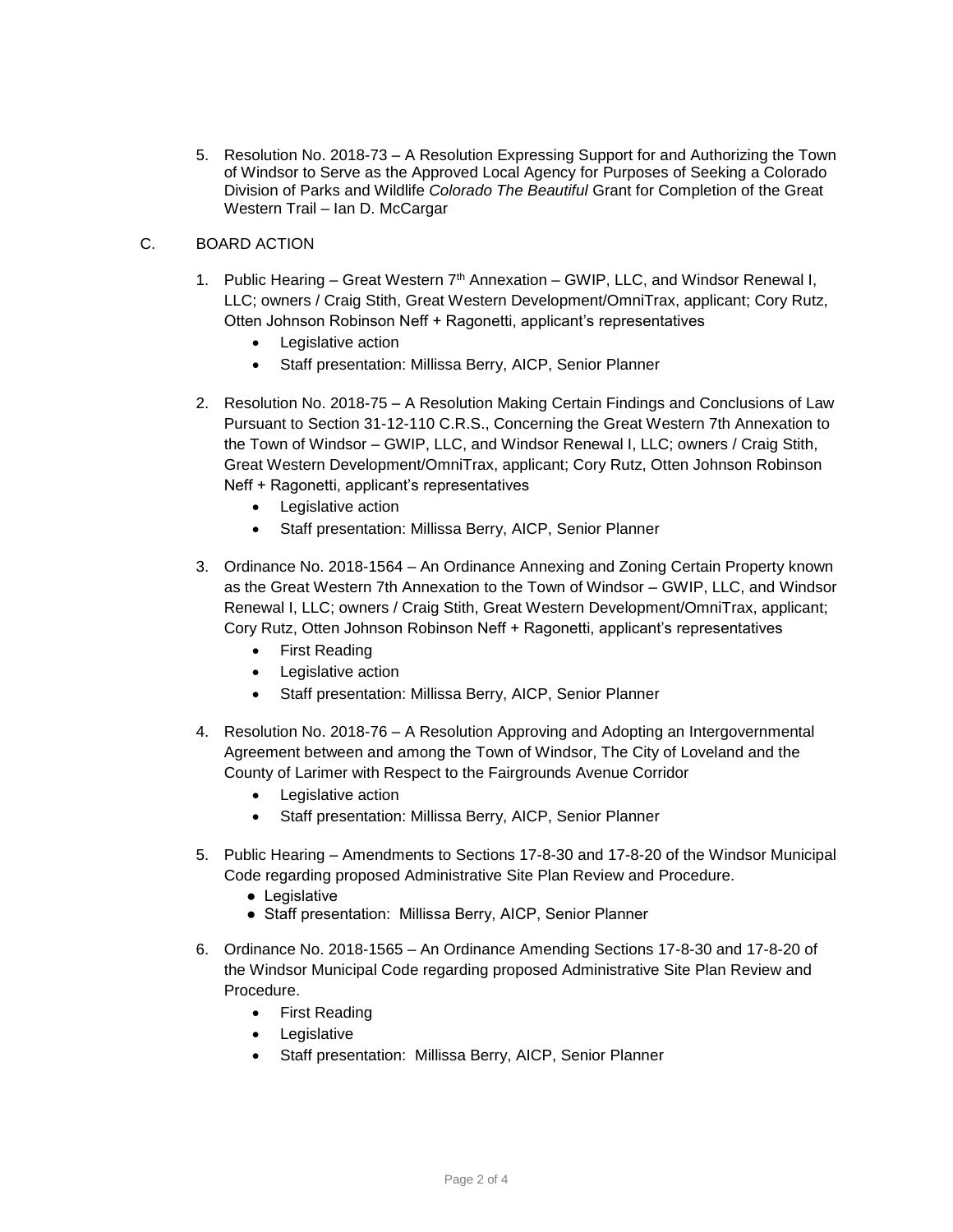5. Resolution No. 2018-73 – A Resolution Expressing Support for and Authorizing the Town of Windsor to Serve as the Approved Local Agency for Purposes of Seeking a Colorado Division of Parks and Wildlife *Colorado The Beautiful* Grant for Completion of the Great Western Trail – Ian D. McCargar

## C. BOARD ACTION

- 1. Public Hearing Great Western 7<sup>th</sup> Annexation GWIP, LLC, and Windsor Renewal I, LLC; owners / Craig Stith, Great Western Development/OmniTrax, applicant; Cory Rutz, Otten Johnson Robinson Neff + Ragonetti, applicant's representatives
	- Legislative action
	- Staff presentation: Millissa Berry, AICP, Senior Planner
- 2. Resolution No. 2018-75 A Resolution Making Certain Findings and Conclusions of Law Pursuant to Section 31-12-110 C.R.S., Concerning the Great Western 7th Annexation to the Town of Windsor – GWIP, LLC, and Windsor Renewal I, LLC; owners / Craig Stith, Great Western Development/OmniTrax, applicant; Cory Rutz, Otten Johnson Robinson Neff + Ragonetti, applicant's representatives
	- Legislative action
	- Staff presentation: Millissa Berry, AICP, Senior Planner
- 3. Ordinance No. 2018-1564 An Ordinance Annexing and Zoning Certain Property known as the Great Western 7th Annexation to the Town of Windsor – GWIP, LLC, and Windsor Renewal I, LLC; owners / Craig Stith, Great Western Development/OmniTrax, applicant; Cory Rutz, Otten Johnson Robinson Neff + Ragonetti, applicant's representatives
	- First Reading
	- Legislative action
	- Staff presentation: Millissa Berry, AICP, Senior Planner
- 4. Resolution No. 2018-76 A Resolution Approving and Adopting an Intergovernmental Agreement between and among the Town of Windsor, The City of Loveland and the County of Larimer with Respect to the Fairgrounds Avenue Corridor
	- Legislative action
	- Staff presentation: Millissa Berry, AICP, Senior Planner
- 5. Public Hearing Amendments to Sections 17-8-30 and 17-8-20 of the Windsor Municipal Code regarding proposed Administrative Site Plan Review and Procedure.
	- Legislative
	- Staff presentation: Millissa Berry, AICP, Senior Planner
- 6. Ordinance No. 2018-1565 An Ordinance Amending Sections 17-8-30 and 17-8-20 of the Windsor Municipal Code regarding proposed Administrative Site Plan Review and Procedure.
	- First Reading
	- Legislative
	- Staff presentation: Millissa Berry, AICP, Senior Planner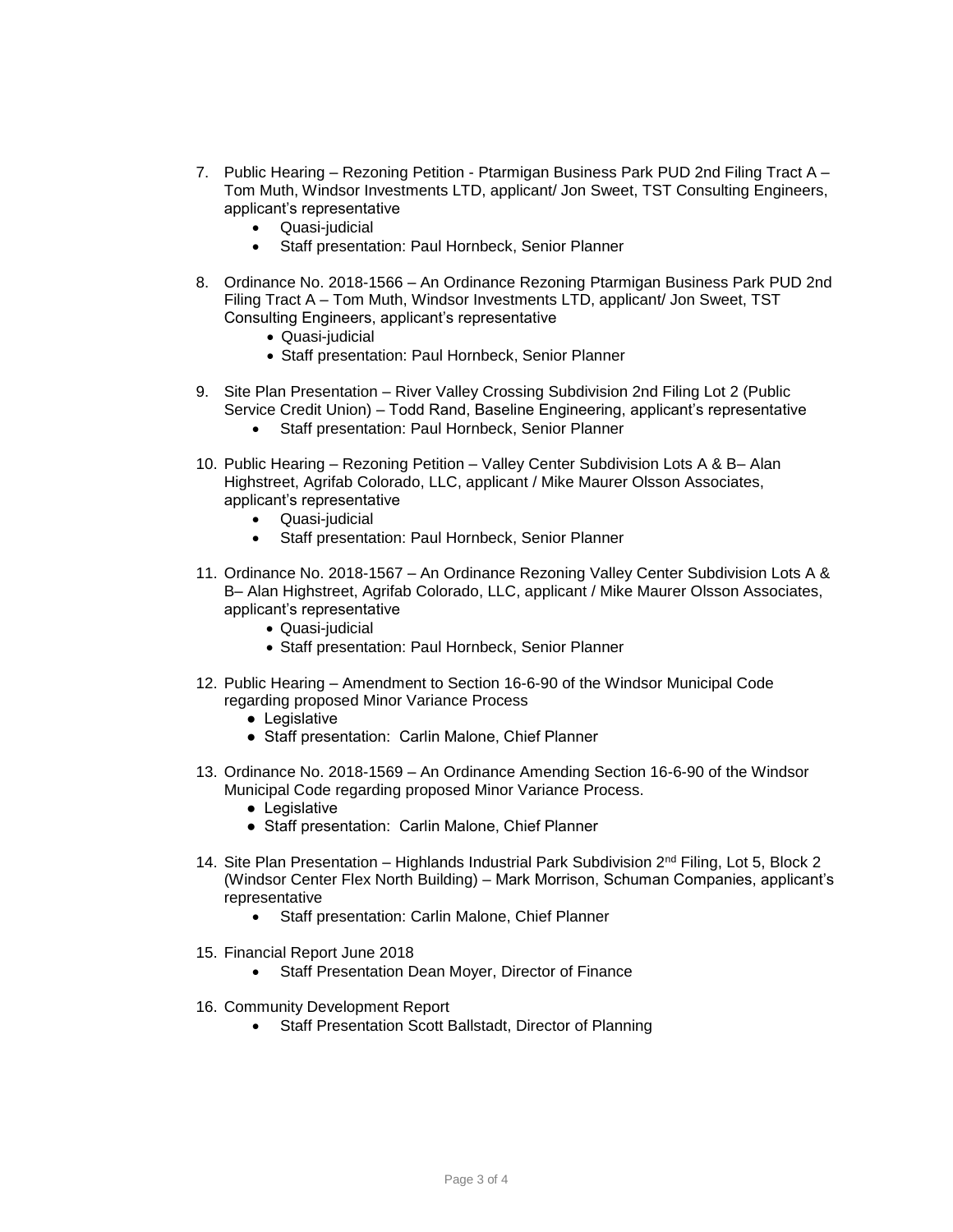- 7. Public Hearing Rezoning Petition Ptarmigan Business Park PUD 2nd Filing Tract A Tom Muth, Windsor Investments LTD, applicant/ Jon Sweet, TST Consulting Engineers, applicant's representative
	- Quasi-judicial
	- Staff presentation: Paul Hornbeck, Senior Planner
- 8. Ordinance No. 2018-1566 An Ordinance Rezoning Ptarmigan Business Park PUD 2nd Filing Tract A – Tom Muth, Windsor Investments LTD, applicant/ Jon Sweet, TST Consulting Engineers, applicant's representative
	- Quasi-judicial
	- Staff presentation: Paul Hornbeck, Senior Planner
- 9. Site Plan Presentation River Valley Crossing Subdivision 2nd Filing Lot 2 (Public Service Credit Union) – Todd Rand, Baseline Engineering, applicant's representative
	- Staff presentation: Paul Hornbeck, Senior Planner
- 10. Public Hearing Rezoning Petition Valley Center Subdivision Lots A & B– Alan Highstreet, Agrifab Colorado, LLC, applicant / Mike Maurer Olsson Associates, applicant's representative
	- Quasi-judicial
	- Staff presentation: Paul Hornbeck, Senior Planner
- 11. Ordinance No. 2018-1567 An Ordinance Rezoning Valley Center Subdivision Lots A & B– Alan Highstreet, Agrifab Colorado, LLC, applicant / Mike Maurer Olsson Associates, applicant's representative
	- Quasi-judicial
	- Staff presentation: Paul Hornbeck, Senior Planner
- 12. Public Hearing Amendment to Section 16-6-90 of the Windsor Municipal Code regarding proposed Minor Variance Process
	- Legislative
	- Staff presentation: Carlin Malone, Chief Planner
- 13. Ordinance No. 2018-1569 An Ordinance Amending Section 16-6-90 of the Windsor Municipal Code regarding proposed Minor Variance Process.
	- Legislative
	- Staff presentation: Carlin Malone, Chief Planner
- 14. Site Plan Presentation Highlands Industrial Park Subdivision 2<sup>nd</sup> Filing, Lot 5, Block 2 (Windsor Center Flex North Building) – Mark Morrison, Schuman Companies, applicant's representative
	- Staff presentation: Carlin Malone, Chief Planner
- 15. Financial Report June 2018
	- Staff Presentation Dean Moyer, Director of Finance
- 16. Community Development Report
	- Staff Presentation Scott Ballstadt, Director of Planning